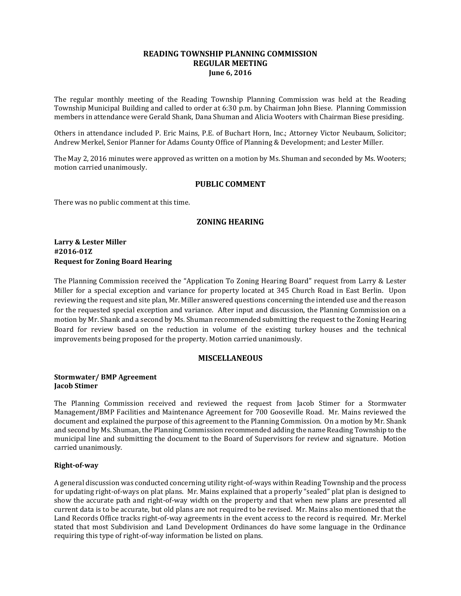## **READING TOWNSHIP PLANNING COMMISSION REGULAR MEETING June 6, 2016**

The regular monthly meeting of the Reading Township Planning Commission was held at the Reading Township Municipal Building and called to order at 6:30 p.m. by Chairman John Biese. Planning Commission members in attendance were Gerald Shank, Dana Shuman and Alicia Wooters with Chairman Biese presiding.

Others in attendance included P. Eric Mains, P.E. of Buchart Horn, Inc.; Attorney Victor Neubaum, Solicitor; Andrew Merkel, Senior Planner for Adams County Office of Planning & Development; and Lester Miller.

The May 2, 2016 minutes were approved as written on a motion by Ms. Shuman and seconded by Ms. Wooters; motion carried unanimously.

# **PUBLIC COMMENT**

There was no public comment at this time.

### **ZONING HEARING**

**Larry & Lester Miller #2016-01Z Request for Zoning Board Hearing**

The Planning Commission received the "Application To Zoning Hearing Board" request from Larry & Lester Miller for a special exception and variance for property located at 345 Church Road in East Berlin. Upon reviewing the request and site plan, Mr. Miller answered questions concerning the intended use and the reason for the requested special exception and variance. After input and discussion, the Planning Commission on a motion by Mr. Shank and a second by Ms. Shuman recommended submitting the request to the Zoning Hearing Board for review based on the reduction in volume of the existing turkey houses and the technical improvements being proposed for the property. Motion carried unanimously.

### **MISCELLANEOUS**

#### **Stormwater/ BMP Agreement Jacob Stimer**

The Planning Commission received and reviewed the request from Jacob Stimer for a Stormwater Management/BMP Facilities and Maintenance Agreement for 700 Gooseville Road. Mr. Mains reviewed the document and explained the purpose of this agreement to the Planning Commission. On a motion by Mr. Shank and second by Ms. Shuman, the Planning Commission recommended adding the name Reading Township to the municipal line and submitting the document to the Board of Supervisors for review and signature. Motion carried unanimously.

### **Right-of-way**

A general discussion was conducted concerning utility right-of-ways within Reading Township and the process for updating right-of-ways on plat plans. Mr. Mains explained that a properly "sealed" plat plan is designed to show the accurate path and right-of-way width on the property and that when new plans are presented all current data is to be accurate, but old plans are not required to be revised. Mr. Mains also mentioned that the Land Records Office tracks right-of-way agreements in the event access to the record is required. Mr. Merkel stated that most Subdivision and Land Development Ordinances do have some language in the Ordinance requiring this type of right-of-way information be listed on plans.